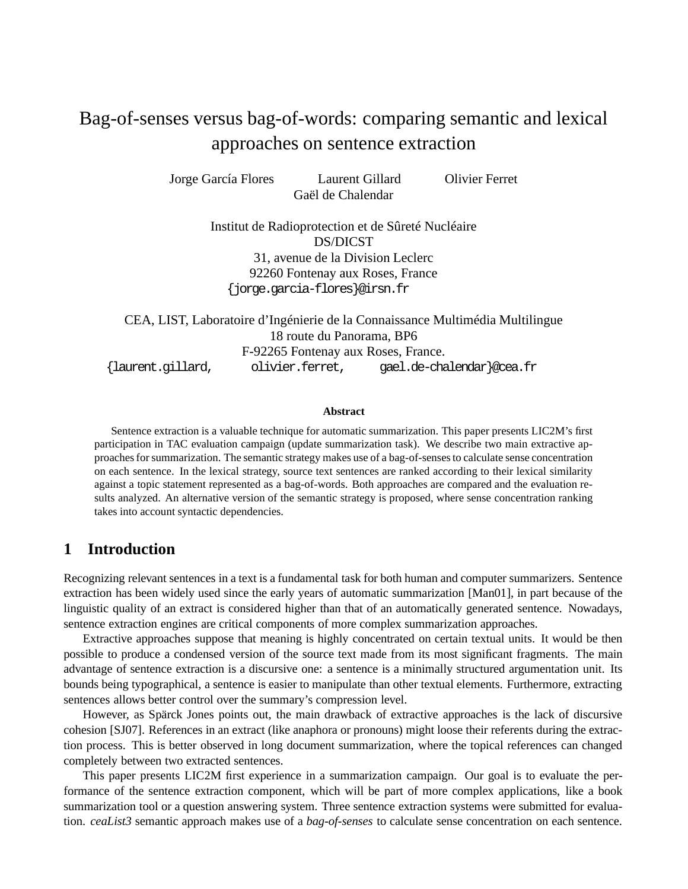# Bag-of-senses versus bag-of-words: comparing semantic and lexical approaches on sentence extraction

Jorge García Flores Laurent Gillard Olivier Ferret Gaël de Chalendar

> Institut de Radioprotection et de Sûreté Nucléaire DS/DICST 31, avenue de la Division Leclerc 92260 Fontenay aux Roses, France {jorge.garcia-flores}@irsn.fr

CEA, LIST, Laboratoire d'Ingénierie de la Connaissance Multimédia Multilingue 18 route du Panorama, BP6 F-92265 Fontenay aux Roses, France. {laurent.gillard, olivier.ferret, gael.de-chalendar}@cea.fr

#### **Abstract**

Sentence extraction is a valuable technique for automatic summarization. This paper presents LIC2M's first participation in TAC evaluation campaign (update summarization task). We describe two main extractive approachesforsummarization. The semantic strategy makes use of a bag-of-sensesto calculate sense concentration on each sentence. In the lexical strategy, source text sentences are ranked according to their lexical similarity against a topic statement represented as a bag-of-words. Both approaches are compared and the evaluation results analyzed. An alternative version of the semantic strategy is proposed, where sense concentration ranking takes into account syntactic dependencies.

### **1 Introduction**

Recognizing relevant sentences in a text is a fundamental task for both human and computer summarizers. Sentence extraction has been widely used since the early years of automatic summarization [Man01], in part because of the linguistic quality of an extract is considered higher than that of an automatically generated sentence. Nowadays, sentence extraction engines are critical components of more complex summarization approaches.

Extractive approaches suppose that meaning is highly concentrated on certain textual units. It would be then possible to produce a condensed version of the source text made from its most significant fragments. The main advantage of sentence extraction is a discursive one: a sentence is a minimally structured argumentation unit. Its bounds being typographical, a sentence is easier to manipulate than other textual elements. Furthermore, extracting sentences allows better control over the summary's compression level.

However, as Spärck Jones points out, the main drawback of extractive approaches is the lack of discursive cohesion [SJ07]. References in an extract (like anaphora or pronouns) might loose their referents during the extraction process. This is better observed in long document summarization, where the topical references can changed completely between two extracted sentences.

This paper presents LIC2M first experience in a summarization campaign. Our goal is to evaluate the performance of the sentence extraction component, which will be part of more complex applications, like a book summarization tool or a question answering system. Three sentence extraction systems were submitted for evaluation. *ceaList3* semantic approach makes use of a *bag-of-senses* to calculate sense concentration on each sentence.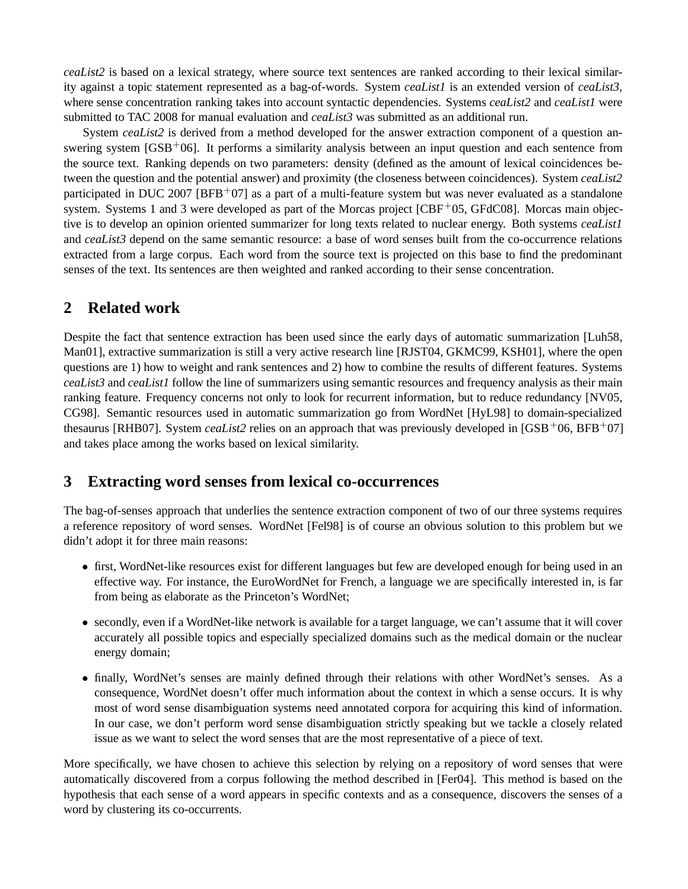*ceaList2* is based on a lexical strategy, where source text sentences are ranked according to their lexical similarity against a topic statement represented as a bag-of-words. System *ceaList1* is an extended version of *ceaList3*, where sense concentration ranking takes into account syntactic dependencies. Systems *ceaList2* and *ceaList1* were submitted to TAC 2008 for manual evaluation and *ceaList3* was submitted as an additional run.

System *ceaList2* is derived from a method developed for the answer extraction component of a question answering system  $[GSB<sup>+</sup>06]$ . It performs a similarity analysis between an input question and each sentence from the source text. Ranking depends on two parameters: density (defined as the amount of lexical coincidences between the question and the potential answer) and proximity (the closeness between coincidences). System *ceaList2* participated in DUC 2007 [BFB+07] as a part of a multi-feature system but was never evaluated as a standalone system. Systems 1 and 3 were developed as part of the Morcas project  $[CBF<sup>+</sup>05$ , GFdC08]. Morcas main objective is to develop an opinion oriented summarizer for long texts related to nuclear energy. Both systems *ceaList1* and *ceaList3* depend on the same semantic resource: a base of word senses built from the co-occurrence relations extracted from a large corpus. Each word from the source text is projected on this base to find the predominant senses of the text. Its sentences are then weighted and ranked according to their sense concentration.

### **2 Related work**

Despite the fact that sentence extraction has been used since the early days of automatic summarization [Luh58, Man01], extractive summarization is still a very active research line [RJST04, GKMC99, KSH01], where the open questions are 1) how to weight and rank sentences and 2) how to combine the results of different features. Systems *ceaList3* and *ceaList1* follow the line of summarizers using semantic resources and frequency analysis as their main ranking feature. Frequency concerns not only to look for recurrent information, but to reduce redundancy [NV05, CG98]. Semantic resources used in automatic summarization go from WordNet [HyL98] to domain-specialized thesaurus [RHB07]. System *ceaList2* relies on an approach that was previously developed in [GSB+06, BFB+07] and takes place among the works based on lexical similarity.

### **3 Extracting word senses from lexical co-occurrences**

The bag-of-senses approach that underlies the sentence extraction component of two of our three systems requires a reference repository of word senses. WordNet [Fel98] is of course an obvious solution to this problem but we didn't adopt it for three main reasons:

- first, WordNet-like resources exist for different languages but few are developed enough for being used in an effective way. For instance, the EuroWordNet for French, a language we are specifically interested in, is far from being as elaborate as the Princeton's WordNet;
- secondly, even if a WordNet-like network is available for a target language, we can't assume that it will cover accurately all possible topics and especially specialized domains such as the medical domain or the nuclear energy domain;
- finally, WordNet's senses are mainly defined through their relations with other WordNet's senses. As a consequence, WordNet doesn't offer much information about the context in which a sense occurs. It is why most of word sense disambiguation systems need annotated corpora for acquiring this kind of information. In our case, we don't perform word sense disambiguation strictly speaking but we tackle a closely related issue as we want to select the word senses that are the most representative of a piece of text.

More specifically, we have chosen to achieve this selection by relying on a repository of word senses that were automatically discovered from a corpus following the method described in [Fer04]. This method is based on the hypothesis that each sense of a word appears in specific contexts and as a consequence, discovers the senses of a word by clustering its co-occurrents.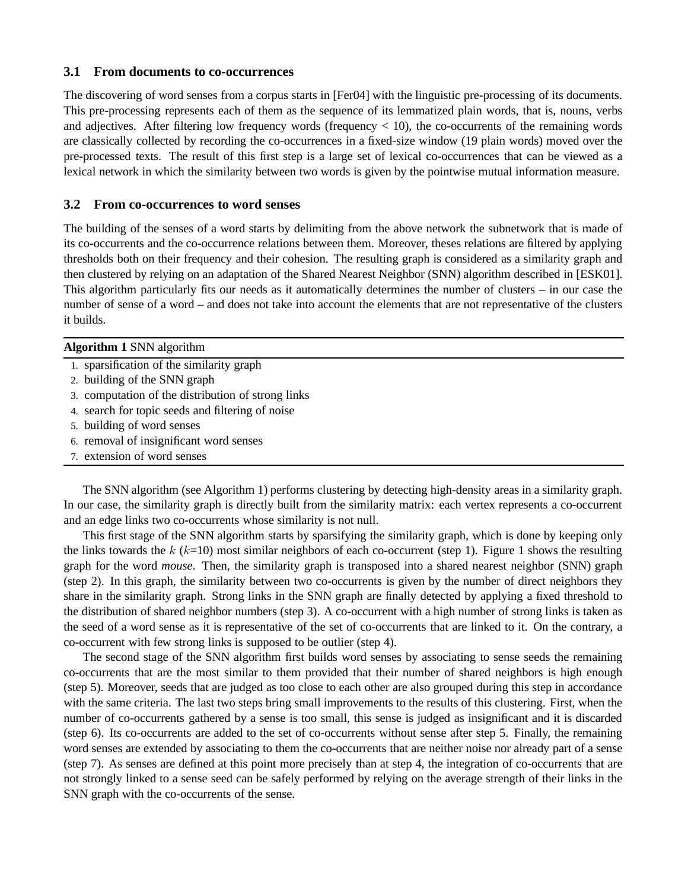#### **3.1 From documents to co-occurrences**

The discovering of word senses from a corpus starts in [Fer04] with the linguistic pre-processing of its documents. This pre-processing represents each of them as the sequence of its lemmatized plain words, that is, nouns, verbs and adjectives. After filtering low frequency words (frequency  $< 10$ ), the co-occurrents of the remaining words are classically collected by recording the co-occurrences in a fixed-size window (19 plain words) moved over the pre-processed texts. The result of this first step is a large set of lexical co-occurrences that can be viewed as a lexical network in which the similarity between two words is given by the pointwise mutual information measure.

#### **3.2 From co-occurrences to word senses**

The building of the senses of a word starts by delimiting from the above network the subnetwork that is made of its co-occurrents and the co-occurrence relations between them. Moreover, theses relations are filtered by applying thresholds both on their frequency and their cohesion. The resulting graph is considered as a similarity graph and then clustered by relying on an adaptation of the Shared Nearest Neighbor (SNN) algorithm described in [ESK01]. This algorithm particularly fits our needs as it automatically determines the number of clusters – in our case the number of sense of a word – and does not take into account the elements that are not representative of the clusters it builds.

#### **Algorithm 1** SNN algorithm

- 1. sparsification of the similarity graph
- 2. building of the SNN graph
- 3. computation of the distribution of strong links
- 4. search for topic seeds and filtering of noise
- 5. building of word senses
- 6. removal of insignificant word senses
- 7. extension of word senses

The SNN algorithm (see Algorithm 1) performs clustering by detecting high-density areas in a similarity graph. In our case, the similarity graph is directly built from the similarity matrix: each vertex represents a co-occurrent and an edge links two co-occurrents whose similarity is not null.

This first stage of the SNN algorithm starts by sparsifying the similarity graph, which is done by keeping only the links towards the  $k$  ( $k=10$ ) most similar neighbors of each co-occurrent (step 1). Figure 1 shows the resulting graph for the word *mouse*. Then, the similarity graph is transposed into a shared nearest neighbor (SNN) graph (step 2). In this graph, the similarity between two co-occurrents is given by the number of direct neighbors they share in the similarity graph. Strong links in the SNN graph are finally detected by applying a fixed threshold to the distribution of shared neighbor numbers (step 3). A co-occurrent with a high number of strong links is taken as the seed of a word sense as it is representative of the set of co-occurrents that are linked to it. On the contrary, a co-occurrent with few strong links is supposed to be outlier (step 4).

The second stage of the SNN algorithm first builds word senses by associating to sense seeds the remaining co-occurrents that are the most similar to them provided that their number of shared neighbors is high enough (step 5). Moreover, seeds that are judged as too close to each other are also grouped during this step in accordance with the same criteria. The last two steps bring small improvements to the results of this clustering. First, when the number of co-occurrents gathered by a sense is too small, this sense is judged as insignificant and it is discarded (step 6). Its co-occurrents are added to the set of co-occurrents without sense after step 5. Finally, the remaining word senses are extended by associating to them the co-occurrents that are neither noise nor already part of a sense (step 7). As senses are defined at this point more precisely than at step 4, the integration of co-occurrents that are not strongly linked to a sense seed can be safely performed by relying on the average strength of their links in the SNN graph with the co-occurrents of the sense.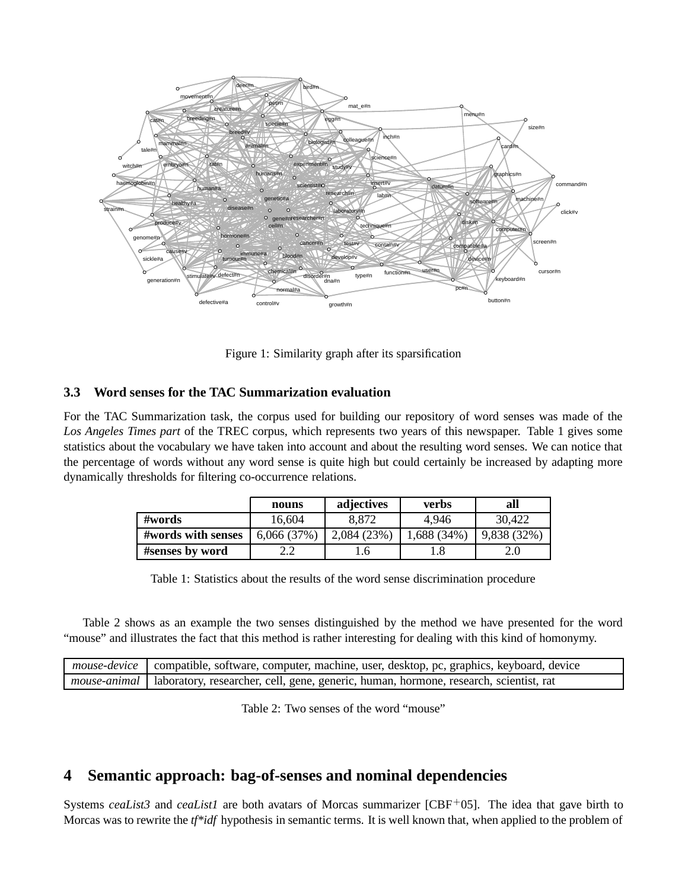

Figure 1: Similarity graph after its sparsification

#### **3.3 Word senses for the TAC Summarization evaluation**

For the TAC Summarization task, the corpus used for building our repository of word senses was made of the *Los Angeles Times part* of the TREC corpus, which represents two years of this newspaper. Table 1 gives some statistics about the vocabulary we have taken into account and about the resulting word senses. We can notice that the percentage of words without any word sense is quite high but could certainly be increased by adapting more dynamically thresholds for filtering co-occurrence relations.

|                    | nouns      | adjectives      | <b>verbs</b> | all         |
|--------------------|------------|-----------------|--------------|-------------|
| #words             | 16,604     | 8,872           | 4,946        | 30,422      |
| #words with senses | 6,066(37%) | 2,084(23%)      | 1,688 (34%)  | 9,838 (32%) |
| #senses by word    |            | .6 <sub>1</sub> |              |             |

Table 1: Statistics about the results of the word sense discrimination procedure

Table 2 shows as an example the two senses distinguished by the method we have presented for the word "mouse" and illustrates the fact that this method is rather interesting for dealing with this kind of homonymy.

| <i>nouse-device</i> compatible, software, computer, machine, user, desktop, pc, graphics, keyboard, device |
|------------------------------------------------------------------------------------------------------------|
| mouse-animal   laboratory, researcher, cell, gene, generic, human, hormone, research, scientist, rat       |

Table 2: Two senses of the word "mouse"

### **4 Semantic approach: bag-of-senses and nominal dependencies**

Systems *ceaList3* and *ceaList1* are both avatars of Morcas summarizer [CBF<sup>+</sup>05]. The idea that gave birth to Morcas was to rewrite the *tf\*idf* hypothesis in semantic terms. It is well known that, when applied to the problem of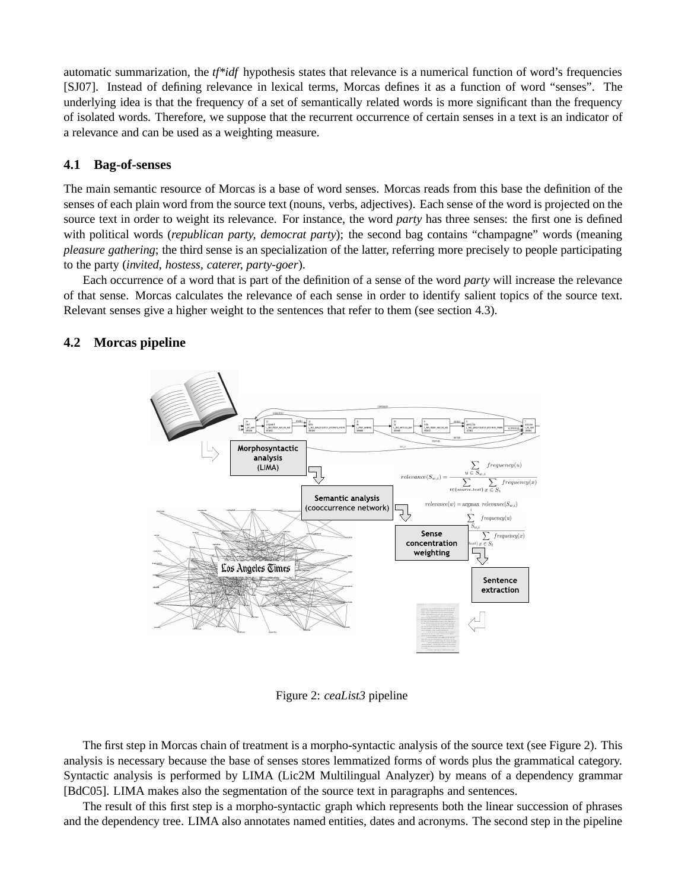automatic summarization, the *tf\*idf* hypothesis states that relevance is a numerical function of word's frequencies [SJ07]. Instead of defining relevance in lexical terms, Morcas defines it as a function of word "senses". The underlying idea is that the frequency of a set of semantically related words is more significant than the frequency of isolated words. Therefore, we suppose that the recurrent occurrence of certain senses in a text is an indicator of a relevance and can be used as a weighting measure.

#### **4.1 Bag-of-senses**

The main semantic resource of Morcas is a base of word senses. Morcas reads from this base the definition of the senses of each plain word from the source text (nouns, verbs, adjectives). Each sense of the word is projected on the source text in order to weight its relevance. For instance, the word *party* has three senses: the first one is defined with political words (*republican party, democrat party*); the second bag contains "champagne" words (meaning *pleasure gathering*; the third sense is an specialization of the latter, referring more precisely to people participating to the party (*invited, hostess, caterer, party-goer*).

Each occurrence of a word that is part of the definition of a sense of the word *party* will increase the relevance of that sense. Morcas calculates the relevance of each sense in order to identify salient topics of the source text. Relevant senses give a higher weight to the sentences that refer to them (see section 4.3).

#### **4.2 Morcas pipeline**



Figure 2: *ceaList3* pipeline

The first step in Morcas chain of treatment is a morpho-syntactic analysis of the source text (see Figure 2). This analysis is necessary because the base of senses stores lemmatized forms of words plus the grammatical category. Syntactic analysis is performed by LIMA (Lic2M Multilingual Analyzer) by means of a dependency grammar [BdC05]. LIMA makes also the segmentation of the source text in paragraphs and sentences.

The result of this first step is a morpho-syntactic graph which represents both the linear succession of phrases and the dependency tree. LIMA also annotates named entities, dates and acronyms. The second step in the pipeline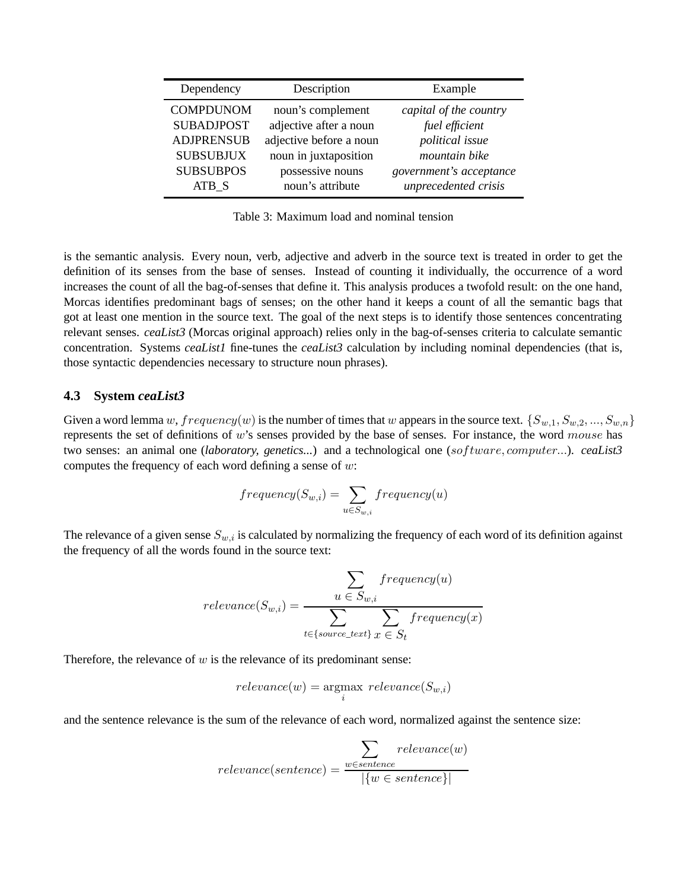| Dependency        | Description             | Example                 |
|-------------------|-------------------------|-------------------------|
| <b>COMPDUNOM</b>  | noun's complement       | capital of the country  |
| <b>SUBADJPOST</b> | adjective after a noun  | fuel efficient          |
| <b>ADJPRENSUB</b> | adjective before a noun | political issue         |
| <b>SUBSUBJUX</b>  | noun in juxtaposition   | mountain bike           |
| <b>SUBSUBPOS</b>  | possessive nouns        | government's acceptance |
| ATB S             | noun's attribute        | unprecedented crisis    |

Table 3: Maximum load and nominal tension

is the semantic analysis. Every noun, verb, adjective and adverb in the source text is treated in order to get the definition of its senses from the base of senses. Instead of counting it individually, the occurrence of a word increases the count of all the bag-of-senses that define it. This analysis produces a twofold result: on the one hand, Morcas identifies predominant bags of senses; on the other hand it keeps a count of all the semantic bags that got at least one mention in the source text. The goal of the next steps is to identify those sentences concentrating relevant senses. *ceaList3* (Morcas original approach) relies only in the bag-of-senses criteria to calculate semantic concentration. Systems *ceaList1* fine-tunes the *ceaList3* calculation by including nominal dependencies (that is, those syntactic dependencies necessary to structure noun phrases).

#### **4.3 System** *ceaList3*

Given a word lemma w,  $frequency(w)$  is the number of times that w appears in the source text.  $\{S_{w,1}, S_{w,2}, ..., S_{w,n}\}$ represents the set of definitions of  $w$ 's senses provided by the base of senses. For instance, the word mouse has two senses: an animal one (*laboratory, genetics...*) and a technological one (software, computer...). *ceaList3* computes the frequency of each word defining a sense of  $w$ :

$$
frequency(S_{w,i}) = \sum_{u \in S_{w,i}} frequency(u)
$$

The relevance of a given sense  $S_{w,i}$  is calculated by normalizing the frequency of each word of its definition against the frequency of all the words found in the source text:

$$
relevance(S_{w,i}) = \frac{\sum\limits_{u \in S_{w,i}} frequency(u)}{\sum\limits_{t \in \{source\_text\}} \sum\limits_{x \in S_t} frequency(x)}
$$

Therefore, the relevance of  $w$  is the relevance of its predominant sense:

$$
relevance(w) = \underset{i}{\text{argmax}} \; relevance(S_{w,i})
$$

and the sentence relevance is the sum of the relevance of each word, normalized against the sentence size:

$$
relevance(sentence) = \frac{\sum_{w \in sentence} relevance(w)}{|\{w \in sentence\}|}
$$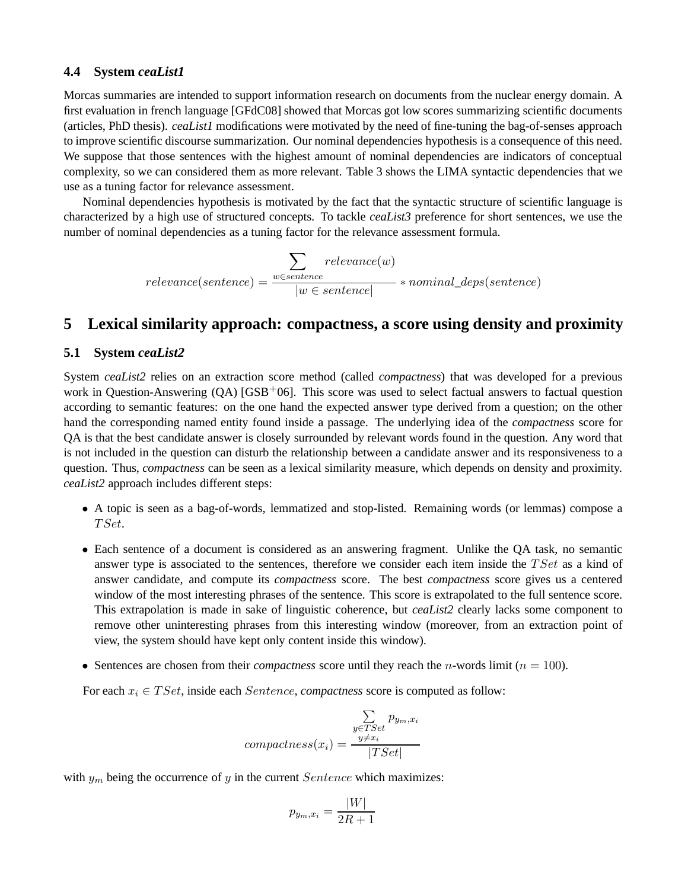#### **4.4 System** *ceaList1*

Morcas summaries are intended to support information research on documents from the nuclear energy domain. A first evaluation in french language [GFdC08] showed that Morcas got low scores summarizing scientific documents (articles, PhD thesis). *ceaList1* modifications were motivated by the need of fine-tuning the bag-of-senses approach to improve scientific discourse summarization. Our nominal dependencies hypothesis is a consequence of this need. We suppose that those sentences with the highest amount of nominal dependencies are indicators of conceptual complexity, so we can considered them as more relevant. Table 3 shows the LIMA syntactic dependencies that we use as a tuning factor for relevance assessment.

Nominal dependencies hypothesis is motivated by the fact that the syntactic structure of scientific language is characterized by a high use of structured concepts. To tackle *ceaList3* preference for short sentences, we use the number of nominal dependencies as a tuning factor for the relevance assessment formula.

> $relevance(sentence) =$  $\sum$ w∈sentence  $relevance(w)$  $\frac{mence}{|w \in sentence|} * nominal\_deposit, sentence)$

### **5 Lexical similarity approach: compactness, a score using density and proximity**

#### **5.1 System** *ceaList2*

System *ceaList2* relies on an extraction score method (called *compactness*) that was developed for a previous work in Question-Answering  $(QA)$  [GSB<sup>+</sup>06]. This score was used to select factual answers to factual question according to semantic features: on the one hand the expected answer type derived from a question; on the other hand the corresponding named entity found inside a passage. The underlying idea of the *compactness* score for QA is that the best candidate answer is closely surrounded by relevant words found in the question. Any word that is not included in the question can disturb the relationship between a candidate answer and its responsiveness to a question. Thus, *compactness* can be seen as a lexical similarity measure, which depends on density and proximity. *ceaList2* approach includes different steps:

- A topic is seen as a bag-of-words, lemmatized and stop-listed. Remaining words (or lemmas) compose a TSet.
- Each sentence of a document is considered as an answering fragment. Unlike the QA task, no semantic answer type is associated to the sentences, therefore we consider each item inside the  $TSet$  as a kind of answer candidate, and compute its *compactness* score. The best *compactness* score gives us a centered window of the most interesting phrases of the sentence. This score is extrapolated to the full sentence score. This extrapolation is made in sake of linguistic coherence, but *ceaList2* clearly lacks some component to remove other uninteresting phrases from this interesting window (moreover, from an extraction point of view, the system should have kept only content inside this window).
- Sentences are chosen from their *compactness* score until they reach the *n*-words limit ( $n = 100$ ).

For each  $x_i \in TSet$ , inside each *Sentence*, *compactness* score is computed as follow:

$$
compactness(x_i) = \frac{\sum\limits_{y \in TSet} p_{y_m, x_i}}{|TSet|}
$$

with  $y_m$  being the occurrence of y in the current Sentence which maximizes:

$$
p_{y_m,x_i} = \frac{|W|}{2R+1}
$$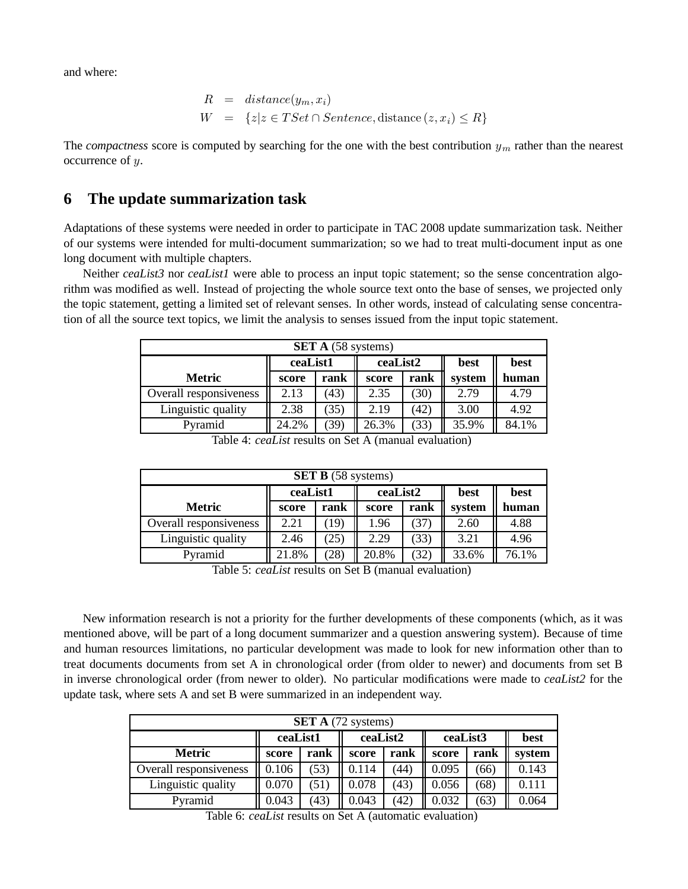and where:

$$
R = distance(y_m, x_i)
$$
  

$$
W = \{z | z \in TSet \cap Sentence, distance (z, x_i) \le R\}
$$

The *compactness* score is computed by searching for the one with the best contribution  $y_m$  rather than the nearest occurrence of y.

## **6 The update summarization task**

Adaptations of these systems were needed in order to participate in TAC 2008 update summarization task. Neither of our systems were intended for multi-document summarization; so we had to treat multi-document input as one long document with multiple chapters.

Neither *ceaList3* nor *ceaList1* were able to process an input topic statement; so the sense concentration algorithm was modified as well. Instead of projecting the whole source text onto the base of senses, we projected only the topic statement, getting a limited set of relevant senses. In other words, instead of calculating sense concentration of all the source text topics, we limit the analysis to senses issued from the input topic statement.

| <b>SET A</b> (58 systems) |                                             |      |               |      |        |       |  |  |  |
|---------------------------|---------------------------------------------|------|---------------|------|--------|-------|--|--|--|
|                           | ceaList1<br>ceaList2<br>best<br><b>best</b> |      |               |      |        |       |  |  |  |
| <b>Metric</b>             | score                                       | rank | rank<br>score |      | system | human |  |  |  |
| Overall responsiveness    | 2.13                                        | (43) | 2.35          | (30) | 2.79   | 4.79  |  |  |  |
| Linguistic quality        | 2.38                                        | (35) | 2.19          | (42) | 3.00   | 4.92  |  |  |  |
| Pyramid                   | 24.2%                                       | 39)  | 26.3%         | (33) | 35.9%  | 84.1% |  |  |  |

Table 4: *ceaList* results on Set A (manual evaluation)

| <b>SET B</b> (58 systems) |                                      |      |       |      |        |       |  |  |  |  |
|---------------------------|--------------------------------------|------|-------|------|--------|-------|--|--|--|--|
|                           | ceaList1<br>best<br>ceaList2<br>best |      |       |      |        |       |  |  |  |  |
| <b>Metric</b>             | rank<br>rank<br>score<br>score       |      |       |      | system | human |  |  |  |  |
| Overall responsiveness    | 2.21                                 | 19)  | 1.96  | 37   | 2.60   | 4.88  |  |  |  |  |
| Linguistic quality        | 2.46                                 | 25)  | 2.29  | (33) | 3.21   | 4.96  |  |  |  |  |
| Pyramid                   | 21.8%                                | (28) | 20.8% | (32) | 33.6%  | 76.1% |  |  |  |  |

Table 5: *ceaList* results on Set B (manual evaluation)

New information research is not a priority for the further developments of these components (which, as it was mentioned above, will be part of a long document summarizer and a question answering system). Because of time and human resources limitations, no particular development was made to look for new information other than to treat documents documents from set A in chronological order (from older to newer) and documents from set B in inverse chronological order (from newer to older). No particular modifications were made to *ceaList2* for the update task, where sets A and set B were summarized in an independent way.

| <b>SET A</b> (72 systems) |                                                 |      |       |      |       |      |        |  |  |
|---------------------------|-------------------------------------------------|------|-------|------|-------|------|--------|--|--|
|                           | ceaList3<br>ceaList1<br>ceaList2<br><b>best</b> |      |       |      |       |      |        |  |  |
| <b>Metric</b>             | score                                           | rank | score | rank | score | rank | system |  |  |
| Overall responsiveness    | 0.106                                           | (53) | 0.114 | (44) | 0.095 | (66) | 0.143  |  |  |
| Linguistic quality        | 0.070                                           | (51) | 0.078 | (43) | 0.056 | (68) | 0.111  |  |  |
| Pyramid                   | 0.043                                           | (43) | 0.043 | (42) | 0.032 | (63) | 0.064  |  |  |

Table 6: *ceaList* results on Set A (automatic evaluation)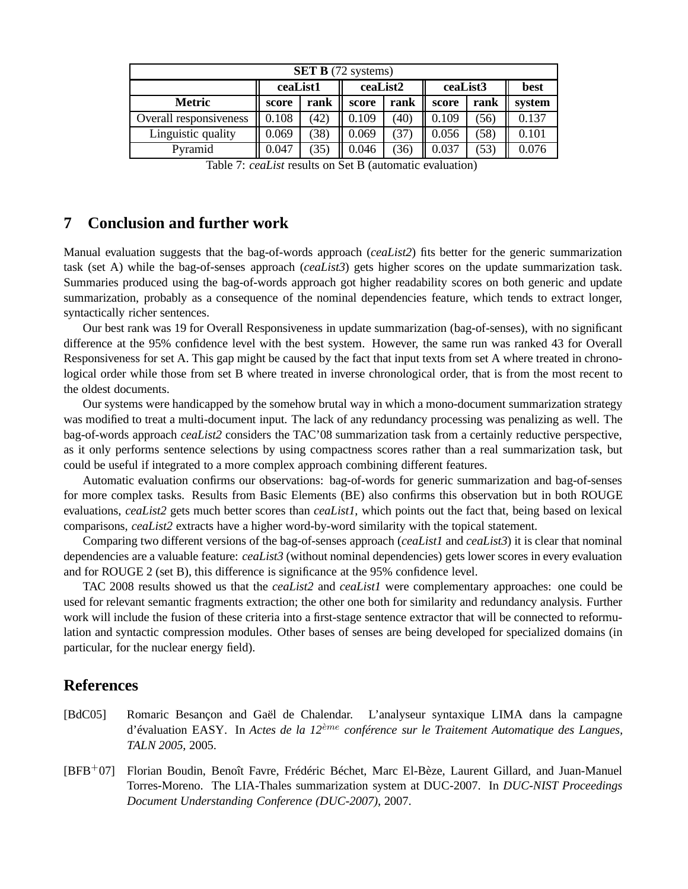| <b>SET B</b> (72 systems) |                                                 |      |       |      |       |      |        |  |  |
|---------------------------|-------------------------------------------------|------|-------|------|-------|------|--------|--|--|
|                           | ceaList3<br>ceaList1<br>ceaList2<br><b>best</b> |      |       |      |       |      |        |  |  |
| <b>Metric</b>             | score                                           | rank | score | rank | score | rank | system |  |  |
| Overall responsiveness    | 0.108                                           | (42) | 0.109 | (40) | 0.109 | (56) | 0.137  |  |  |
| Linguistic quality        | 0.069                                           | (38) | 0.069 | (37) | 0.056 | (58) | 0.101  |  |  |
| Pyramid                   | 0.047                                           | (35) | 0.046 | (36) | 0.037 | (53) | 0.076  |  |  |

|  |  |  |  |  |  | Table 7: ceaList results on Set B (automatic evaluation) |
|--|--|--|--|--|--|----------------------------------------------------------|
|--|--|--|--|--|--|----------------------------------------------------------|

### **7 Conclusion and further work**

Manual evaluation suggests that the bag-of-words approach (*ceaList2*) fits better for the generic summarization task (set A) while the bag-of-senses approach (*ceaList3*) gets higher scores on the update summarization task. Summaries produced using the bag-of-words approach got higher readability scores on both generic and update summarization, probably as a consequence of the nominal dependencies feature, which tends to extract longer, syntactically richer sentences.

Our best rank was 19 for Overall Responsiveness in update summarization (bag-of-senses), with no significant difference at the 95% confidence level with the best system. However, the same run was ranked 43 for Overall Responsiveness for set A. This gap might be caused by the fact that input texts from set A where treated in chronological order while those from set B where treated in inverse chronological order, that is from the most recent to the oldest documents.

Our systems were handicapped by the somehow brutal way in which a mono-document summarization strategy was modified to treat a multi-document input. The lack of any redundancy processing was penalizing as well. The bag-of-words approach *ceaList2* considers the TAC'08 summarization task from a certainly reductive perspective, as it only performs sentence selections by using compactness scores rather than a real summarization task, but could be useful if integrated to a more complex approach combining different features.

Automatic evaluation confirms our observations: bag-of-words for generic summarization and bag-of-senses for more complex tasks. Results from Basic Elements (BE) also confirms this observation but in both ROUGE evaluations, *ceaList2* gets much better scores than *ceaList1*, which points out the fact that, being based on lexical comparisons, *ceaList2* extracts have a higher word-by-word similarity with the topical statement.

Comparing two different versions of the bag-of-senses approach (*ceaList1* and *ceaList3*) it is clear that nominal dependencies are a valuable feature: *ceaList3* (without nominal dependencies) gets lower scores in every evaluation and for ROUGE 2 (set B), this difference is significance at the 95% confidence level.

TAC 2008 results showed us that the *ceaList2* and *ceaList1* were complementary approaches: one could be used for relevant semantic fragments extraction; the other one both for similarity and redundancy analysis. Further work will include the fusion of these criteria into a first-stage sentence extractor that will be connected to reformulation and syntactic compression modules. Other bases of senses are being developed for specialized domains (in particular, for the nuclear energy field).

### **References**

- [BdC05] Romaric Besançon and Gaël de Chalendar. L'analyseur syntaxique LIMA dans la campagne d'évaluation EASY. In *Actes de la 12*eme ` *conférence sur le Traitement Automatique des Langues, TALN 2005*, 2005.
- [BFB+07] Florian Boudin, Benoît Favre, Frédéric Béchet, Marc El-Bèze, Laurent Gillard, and Juan-Manuel Torres-Moreno. The LIA-Thales summarization system at DUC-2007. In *DUC-NIST Proceedings Document Understanding Conference (DUC-2007)*, 2007.